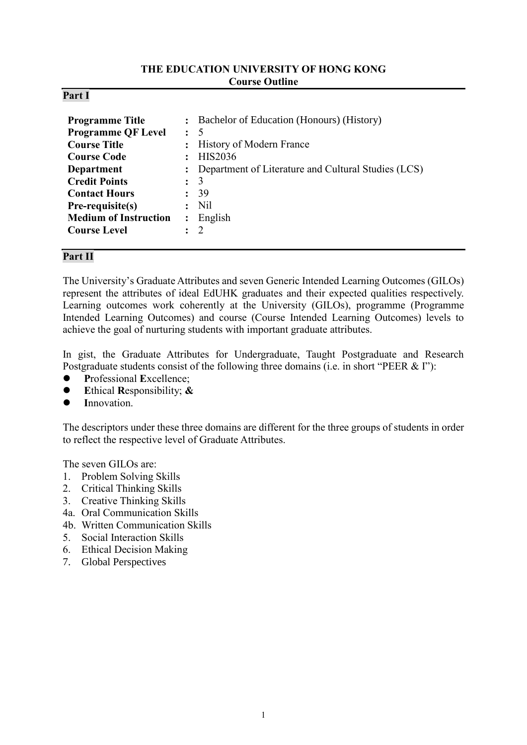#### **THE EDUCATION UNIVERSITY OF HONG KONG Course Outline**

#### **Part I**

## **Part II**

The University's Graduate Attributes and seven Generic Intended Learning Outcomes (GILOs) represent the attributes of ideal EdUHK graduates and their expected qualities respectively. Learning outcomes work coherently at the University (GILOs), programme (Programme Intended Learning Outcomes) and course (Course Intended Learning Outcomes) levels to achieve the goal of nurturing students with important graduate attributes.

In gist, the Graduate Attributes for Undergraduate, Taught Postgraduate and Research Postgraduate students consist of the following three domains (i.e. in short "PEER & I"):

- **P**rofessional **E**xcellence;
- **E**thical **R**esponsibility; **&**
- **I**nnovation.

The descriptors under these three domains are different for the three groups of students in order to reflect the respective level of Graduate Attributes.

The seven GILOs are:

- 1. Problem Solving Skills
- 2. Critical Thinking Skills
- 3. Creative Thinking Skills
- 4a. Oral Communication Skills
- 4b. Written Communication Skills
- 5. Social Interaction Skills
- 6. Ethical Decision Making
- 7. Global Perspectives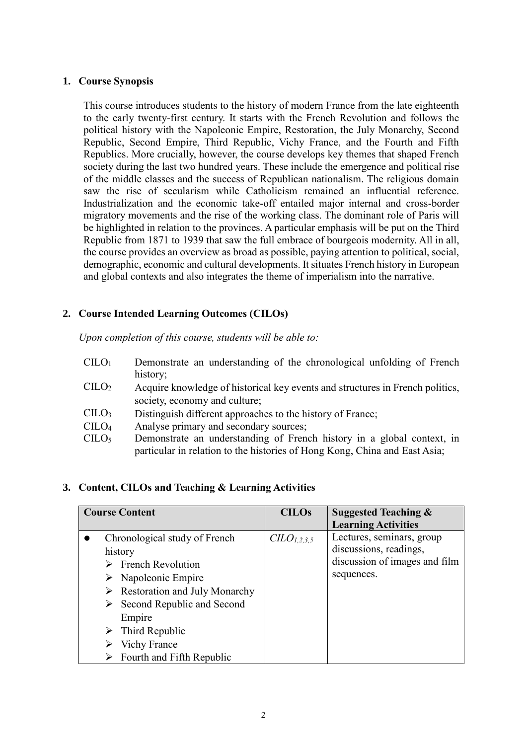### **1. Course Synopsis**

This course introduces students to the history of modern France from the late eighteenth to the early twenty-first century. It starts with the French Revolution and follows the political history with the Napoleonic Empire, Restoration, the July Monarchy, Second Republic, Second Empire, Third Republic, Vichy France, and the Fourth and Fifth Republics. More crucially, however, the course develops key themes that shaped French society during the last two hundred years. These include the emergence and political rise of the middle classes and the success of Republican nationalism. The religious domain saw the rise of secularism while Catholicism remained an influential reference. Industrialization and the economic take-off entailed major internal and cross-border migratory movements and the rise of the working class. The dominant role of Paris will be highlighted in relation to the provinces. A particular emphasis will be put on the Third Republic from 1871 to 1939 that saw the full embrace of bourgeois modernity. All in all, the course provides an overview as broad as possible, paying attention to political, social, demographic, economic and cultural developments. It situates French history in European and global contexts and also integrates the theme of imperialism into the narrative.

# **2. Course Intended Learning Outcomes (CILOs)**

*Upon completion of this course, students will be able to:*

- CILO<sup>1</sup> Demonstrate an understanding of the chronological unfolding of French history;
- CILO<sup>2</sup> Acquire knowledge of historical key events and structures in French politics, society, economy and culture;
- CILO<sup>3</sup> Distinguish different approaches to the history of France;
- CILO<sup>4</sup> Analyse primary and secondary sources;
- CILO<sup>5</sup> Demonstrate an understanding of French history in a global context, in particular in relation to the histories of Hong Kong, China and East Asia;

### **3. Content, CILOs and Teaching & Learning Activities**

| <b>Course Content</b>                                                                                                                                                                                                                                                                                      | <b>CILOs</b>           | <b>Suggested Teaching &amp;</b><br><b>Learning Activities</b>                                      |
|------------------------------------------------------------------------------------------------------------------------------------------------------------------------------------------------------------------------------------------------------------------------------------------------------------|------------------------|----------------------------------------------------------------------------------------------------|
| Chronological study of French<br>history<br>$\triangleright$ French Revolution<br>$\triangleright$ Napoleonic Empire<br>$\triangleright$ Restoration and July Monarchy<br>Second Republic and Second<br>≻<br>Empire<br>$\triangleright$ Third Republic<br><b>Vichy France</b><br>Fourth and Fifth Republic | CLO <sub>1,2,3,5</sub> | Lectures, seminars, group<br>discussions, readings,<br>discussion of images and film<br>sequences. |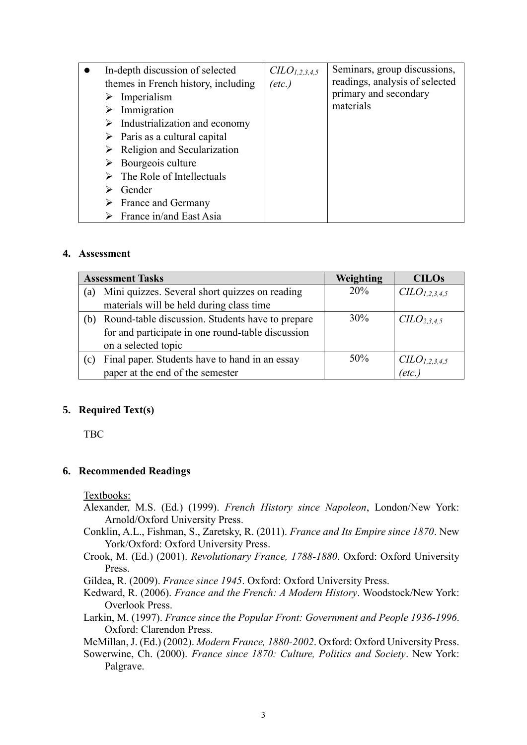| In-depth discussion of selected<br>themes in French history, including | CLO <sub>1,2,3,4,5</sub><br>$(\text{etc.})$ | Seminars, group discussions,<br>readings, analysis of selected<br>primary and secondary<br>materials |
|------------------------------------------------------------------------|---------------------------------------------|------------------------------------------------------------------------------------------------------|
| Imperialism                                                            |                                             |                                                                                                      |
| Immigration<br>$\triangleright$ Industrialization and economy          |                                             |                                                                                                      |
| $\triangleright$ Paris as a cultural capital                           |                                             |                                                                                                      |
| $\triangleright$ Religion and Secularization                           |                                             |                                                                                                      |
| Bourgeois culture                                                      |                                             |                                                                                                      |
| The Role of Intellectuals                                              |                                             |                                                                                                      |
| Gender                                                                 |                                             |                                                                                                      |
| France and Germany                                                     |                                             |                                                                                                      |
| France in/and East Asia                                                |                                             |                                                                                                      |

#### **4. Assessment**

|     | <b>Assessment Tasks</b>                           | Weighting | <b>CILOs</b>                          |
|-----|---------------------------------------------------|-----------|---------------------------------------|
| (a) | Mini quizzes. Several short quizzes on reading    | 20%       | C <sub>L</sub> O <sub>L,2,3,4,5</sub> |
|     | materials will be held during class time          |           |                                       |
| (b) | Round-table discussion. Students have to prepare  | $30\%$    | C <sub>L</sub> O <sub>2,3,4,5</sub>   |
|     | for and participate in one round-table discussion |           |                                       |
|     | on a selected topic                               |           |                                       |
| (c) | Final paper. Students have to hand in an essay    | $50\%$    | CILO <sub>1,2,3,4,5</sub>             |
|     | paper at the end of the semester                  |           | $(\textit{etc.})$                     |

### **5. Required Text(s)**

TBC

### **6. Recommended Readings**

Textbooks:

- Alexander, M.S. (Ed.) (1999). *French History since Napoleon*, London/New York: Arnold/Oxford University Press.
- Conklin, A.L., Fishman, S., Zaretsky, R. (2011). *France and Its Empire since 1870*. New York/Oxford: Oxford University Press.
- Crook, M. (Ed.) (2001). *Revolutionary France, 1788-1880*. Oxford: Oxford University Press.

Gildea, R. (2009). *France since 1945*. Oxford: Oxford University Press.

Kedward, R. (2006). *France and the French: A Modern History*. Woodstock/New York: Overlook Press.

Larkin, M. (1997). *France since the Popular Front: Government and People 1936-1996*. Oxford: Clarendon Press.

McMillan, J. (Ed.) (2002). *Modern France, 1880-2002*. Oxford: Oxford University Press.

Sowerwine, Ch. (2000). *France since 1870: Culture, Politics and Society*. New York: Palgrave.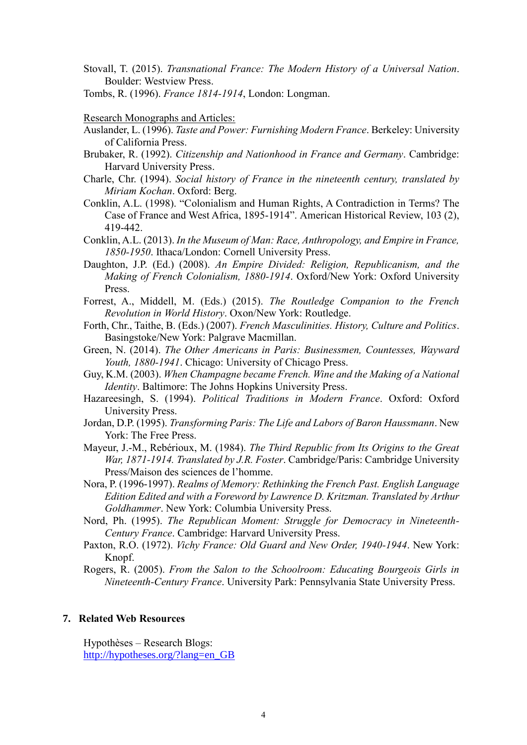Stovall, T. (2015). *Transnational France: The Modern History of a Universal Nation*. Boulder: Westview Press.

Tombs, R. (1996). *France 1814-1914*, London: Longman.

Research Monographs and Articles:

- Auslander, L. (1996). *Taste and Power: Furnishing Modern France*. Berkeley: University of California Press.
- Brubaker, R. (1992). *Citizenship and Nationhood in France and Germany*. Cambridge: Harvard University Press.
- Charle, Chr. (1994). *Social history of France in the nineteenth century, translated by Miriam Kochan*. Oxford: Berg.
- Conklin, A.L. (1998). "Colonialism and Human Rights, A Contradiction in Terms? The Case of France and West Africa, 1895-1914". American Historical Review, 103 (2), 419-442.
- Conklin, A.L. (2013). *In the Museum of Man: Race, Anthropology, and Empire in France, 1850-1950*. Ithaca/London: Cornell University Press.
- Daughton, J.P. (Ed.) (2008). *An Empire Divided: Religion, Republicanism, and the Making of French Colonialism, 1880-1914*. Oxford/New York: Oxford University Press.
- Forrest, A., Middell, M. (Eds.) (2015). *The Routledge Companion to the French Revolution in World History*. Oxon/New York: Routledge.
- Forth, Chr., Taithe, B. (Eds.) (2007). *French Masculinities. History, Culture and Politics*. Basingstoke/New York: Palgrave Macmillan.
- Green, N. (2014). *The Other Americans in Paris: Businessmen, Countesses, Wayward Youth, 1880-1941*. Chicago: University of Chicago Press.
- Guy, K.M. (2003). *When Champagne became French. Wine and the Making of a National Identity*. Baltimore: The Johns Hopkins University Press.
- Hazareesingh, S. (1994). *Political Traditions in Modern France*. Oxford: Oxford University Press.
- Jordan, D.P. (1995). *Transforming Paris: The Life and Labors of Baron Haussmann*. New York: The Free Press.
- Mayeur, J.-M., Rebérioux, M. (1984). *The Third Republic from Its Origins to the Great War, 1871-1914. Translated by J.R. Foster*. Cambridge/Paris: Cambridge University Press/Maison des sciences de l'homme.
- Nora, P. (1996-1997). *Realms of Memory: Rethinking the French Past. English Language Edition Edited and with a Foreword by Lawrence D. Kritzman. Translated by Arthur Goldhammer*. New York: Columbia University Press.
- Nord, Ph. (1995). *The Republican Moment: Struggle for Democracy in Nineteenth-Century France*. Cambridge: Harvard University Press.
- Paxton, R.O. (1972). *Vichy France: Old Guard and New Order, 1940-1944*. New York: Knopf.
- Rogers, R. (2005). *From the Salon to the Schoolroom: Educating Bourgeois Girls in Nineteenth-Century France*. University Park: Pennsylvania State University Press.

#### **7. Related Web Resources**

Hypothèses – Research Blogs: http://hypotheses.org/?lang=en\_GB